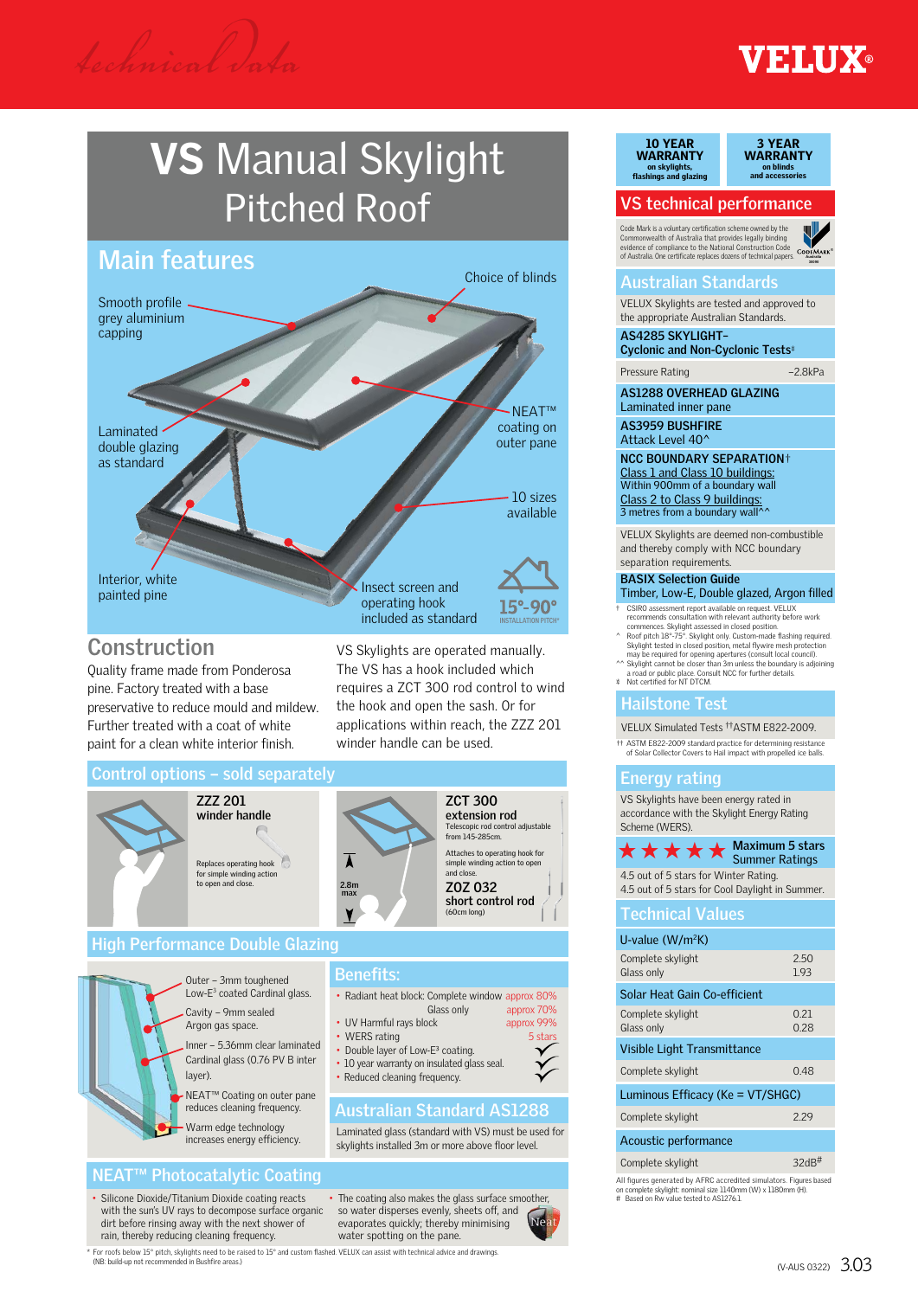# **VEHUX®**

# VS Manual Skylight Pitched Roof



Quality frame made from Ponderosa pine. Factory treated with a base preservative to reduce mould and mildew. Further treated with a coat of white paint for a clean white interior finish.

VS Skylights are operated manually. The VS has a hook included which requires a ZCT 300 rod control to wind the hook and open the sash. Or for applications within reach, the ZZZ 201 winder handle can be used.





Inner – 5.36mm clear laminated Cardinal glass (0.76 PV B inter layer).

NEAT™ Coating on outer pane reduces cleaning frequency.

Warm edge technology increases energy efficiency.

For roofs below 15° pitch, skylights need to be raised to 15° and custom flashed. VELUX can assist with technical advice and drawings.<br>(NR: build-up not recommended in Bushfire areas.)

# **NEAT™ Photocatalytic Coating**

• Silicone Dioxide/Titanium Dioxide coating reacts with the sun's UV rays to decompose surface organic dirt before rinsing away with the next shower of rain, thereby reducing cleaning frequency.

(NB: build-up not read

• The coating also makes the glass surface smoother, so water disperses evenly, sheets off, and evaporates quickly; thereby minimising water spotting on the pane.

**Australian Standard AS1288**

Laminated glass (standard with VS) must be used for skylights installed 3m or more above floor level.

• Double layer of Low-E<sup>3</sup> coating. • 10 year warranty on insulated glass seal. • Reduced cleaning frequency.



### 10 YEAR 10 YEAR WARRANTY WARRANTY on skylights, flashings and glazing on skylights, flashings and glazing

3 YEAR 3 YEAR WARRANTY on blinds and accessories on blinds and accessories

# **VS technical performance**

**Of Australia**. One certificate replaces dozens of technical papers. Code Mark is a voluntary certification scheme owned by the Commonwealth of Australia that provides legally binding evidence of compliance to the National Construction Code



## **Australian Standards**

VELUX Skylights are tested and approved to the appropriate Australian Standards.

**AS4285 SKYLIGHT– Cyclonic and Non-Cyclonic Tests**

Pressure Rating –2.8kPa

**AS1288 OVERHEAD GLAZING**

Laminated inner pane **AS3959 BUSHFIRE** Attack Level 40^

**NCC BOUNDARY SEPARATION**† Class 1 and Class 10 buildings: Within 900mm of a boundary wall Class 2 to Class 9 buildings: 3 metres from a boundary wall  $\sim$ 

VELUX Skylights are deemed non-combustible and thereby comply with NCC boundary separation requirements

# **BASIX Selection Guide**

Timber, Low-E, Double glazed, Argon filled

† CSIRO assessment report available on request. VELUX<br>recommends consultation with relevant authority before work<br>commences. Skylight assessed in closed position.<br>^ Roof pitch 18<sup>2–7</sup>5<sup>5</sup>. Skylight computer and the skyligh

may be required for opening apertures (consult local council).<br>^^ Skylight cannot be closer than 3m unless the boundary is adjoining

a road or public place. Consult NCC for further details. Not certified for NT DTCM.

# **Hailstone Test**

VELUX Simulated Tests ††ASTM E822-2009.

†† ASTM E822-2009 standard practice for determining resistance of Solar Collector Covers to Hail impact with propelled ice balls.

### **Energy rating**

VS Skylights have been energy rated in accordance with the Skylight Energy Rating  $\sim$  (WERS).

| <b>JUICILIC (VVLIVJ).</b>                                                                                                                                                     |  |  |  |  |  |  |  |  |
|-------------------------------------------------------------------------------------------------------------------------------------------------------------------------------|--|--|--|--|--|--|--|--|
| <b>Maximum 5 stars</b><br>*****<br><b>Summer Ratings</b>                                                                                                                      |  |  |  |  |  |  |  |  |
| 4.5 out of 5 stars for Winter Rating.<br>4.5 out of 5 stars for Cool Daylight in Summer.                                                                                      |  |  |  |  |  |  |  |  |
| <b>Technical Values</b>                                                                                                                                                       |  |  |  |  |  |  |  |  |
| U-value $(W/m^2K)$                                                                                                                                                            |  |  |  |  |  |  |  |  |
| 2.50<br>Complete skylight<br>Glass only<br>1.93                                                                                                                               |  |  |  |  |  |  |  |  |
| Solar Heat Gain Co-efficient                                                                                                                                                  |  |  |  |  |  |  |  |  |
| 0.21<br>Complete skylight<br>0.28<br>Glass only                                                                                                                               |  |  |  |  |  |  |  |  |
| Visible Light Transmittance                                                                                                                                                   |  |  |  |  |  |  |  |  |
| 048<br>Complete skylight                                                                                                                                                      |  |  |  |  |  |  |  |  |
| Luminous Efficacy (Ke = VT/SHGC)                                                                                                                                              |  |  |  |  |  |  |  |  |
| 2.29<br>Complete skylight                                                                                                                                                     |  |  |  |  |  |  |  |  |
| Acoustic performance                                                                                                                                                          |  |  |  |  |  |  |  |  |
| $32dB$ #<br>Complete skylight                                                                                                                                                 |  |  |  |  |  |  |  |  |
| All figures generated by AFRC accredited simulators. Figures based<br>on complete skylight: nominal size 1140mm (W) x 1180mm (H).<br>Based on Rw value tested to AS12761<br># |  |  |  |  |  |  |  |  |